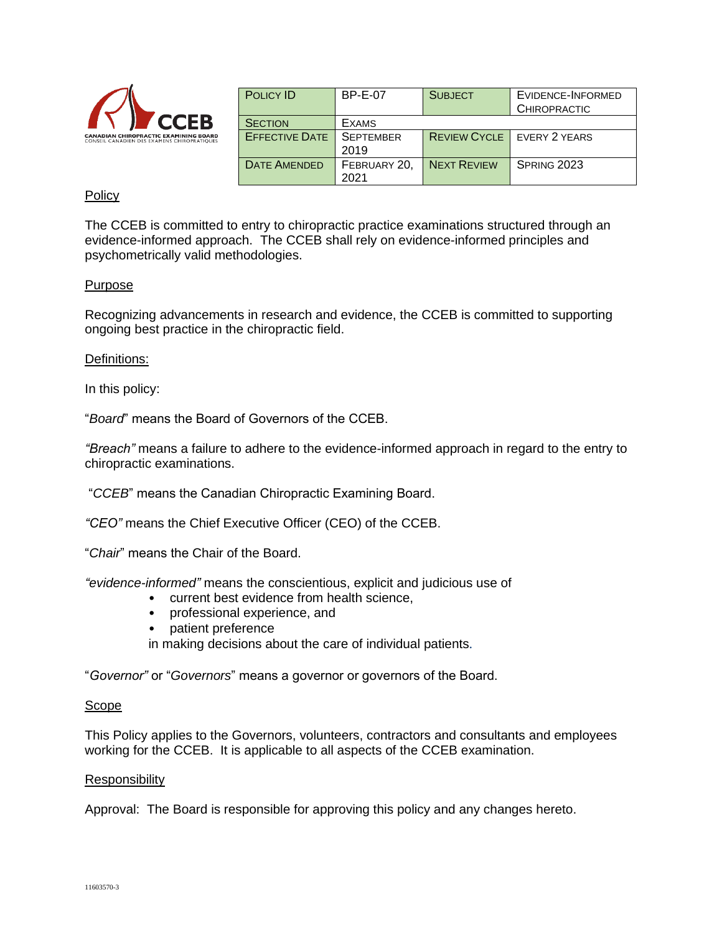

| <b>POLICY ID</b>      | <b>BP-E-07</b>   | <b>SUBJECT</b>      | EVIDENCE-INFORMED<br><b>CHIROPRACTIC</b> |
|-----------------------|------------------|---------------------|------------------------------------------|
|                       |                  |                     |                                          |
| <b>SECTION</b>        | <b>EXAMS</b>     |                     |                                          |
| <b>EFFECTIVE DATE</b> | <b>SEPTEMBER</b> | <b>REVIEW CYCLE</b> | EVERY 2 YEARS                            |
|                       | 2019             |                     |                                          |
| <b>DATE AMENDED</b>   | FEBRUARY 20,     | <b>NEXT REVIEW</b>  | SPRING 2023                              |
|                       | 2021             |                     |                                          |

# **Policy**

The CCEB is committed to entry to chiropractic practice examinations structured through an evidence-informed approach. The CCEB shall rely on evidence-informed principles and psychometrically valid methodologies.

## Purpose

Recognizing advancements in research and evidence, the CCEB is committed to supporting ongoing best practice in the chiropractic field.

## Definitions:

In this policy:

"*Board*" means the Board of Governors of the CCEB.

*"Breach"* means a failure to adhere to the evidence-informed approach in regard to the entry to chiropractic examinations.

"*CCEB*" means the Canadian Chiropractic Examining Board.

*"CEO"* means the Chief Executive Officer (CEO) of the CCEB.

"*Chair*" means the Chair of the Board.

*"evidence-informed"* means the conscientious, explicit and judicious use of

- current best evidence from health science,
- professional experience, and
- patient preference

in making decisions about the care of individual patients*.*

"*Governor"* or "*Governors*" means a governor or governors of the Board.

## Scope

This Policy applies to the Governors, volunteers, contractors and consultants and employees working for the CCEB. It is applicable to all aspects of the CCEB examination.

## Responsibility

Approval: The Board is responsible for approving this policy and any changes hereto.